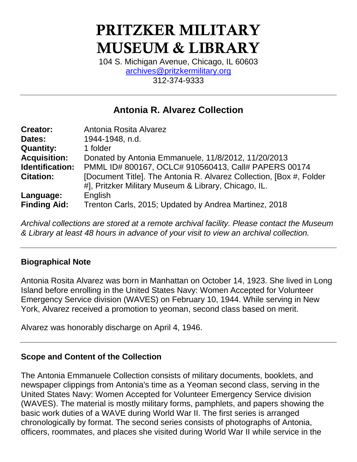# **PRITZKER MILITARY MUSEUM & LIBRARY**

104 S. Michigan Avenue, Chicago, IL 60603 [archives@pritzkermilitary.org](mailto:archives@pritzkermilitary.org) 312-374-9333

# **Antonia R. Alvarez Collection**

| <b>Creator:</b>     | Antonia Rosita Alvarez                                              |
|---------------------|---------------------------------------------------------------------|
| Dates:              | 1944-1948, n.d.                                                     |
| <b>Quantity:</b>    | 1 folder                                                            |
| <b>Acquisition:</b> | Donated by Antonia Emmanuele, 11/8/2012, 11/20/2013                 |
| Identification:     | PMML ID# 800167, OCLC# 910560413, Call# PAPERS 00174                |
| <b>Citation:</b>    | [Document Title]. The Antonia R. Alvarez Collection, [Box #, Folder |
|                     | #], Pritzker Military Museum & Library, Chicago, IL.                |
| Language:           | English                                                             |
| <b>Finding Aid:</b> | Trenton Carls, 2015; Updated by Andrea Martinez, 2018               |

*Archival collections are stored at a remote archival facility. Please contact the Museum & Library at least 48 hours in advance of your visit to view an archival collection.*

# **Biographical Note**

Antonia Rosita Alvarez was born in Manhattan on October 14, 1923. She lived in Long Island before enrolling in the United States Navy: Women Accepted for Volunteer Emergency Service division (WAVES) on February 10, 1944. While serving in New York, Alvarez received a promotion to yeoman, second class based on merit.

Alvarez was honorably discharge on April 4, 1946.

#### **Scope and Content of the Collection**

The Antonia Emmanuele Collection consists of military documents, booklets, and newspaper clippings from Antonia's time as a Yeoman second class, serving in the United States Navy: Women Accepted for Volunteer Emergency Service division (WAVES). The material is mostly military forms, pamphlets, and papers showing the basic work duties of a WAVE during World War II. The first series is arranged chronologically by format. The second series consists of photographs of Antonia, officers, roommates, and places she visited during World War II while service in the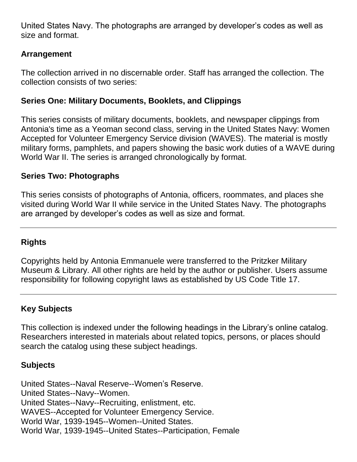United States Navy. The photographs are arranged by developer's codes as well as size and format.

# **Arrangement**

The collection arrived in no discernable order. Staff has arranged the collection. The collection consists of two series:

### **Series One: Military Documents, Booklets, and Clippings**

This series consists of military documents, booklets, and newspaper clippings from Antonia's time as a Yeoman second class, serving in the United States Navy: Women Accepted for Volunteer Emergency Service division (WAVES). The material is mostly military forms, pamphlets, and papers showing the basic work duties of a WAVE during World War II. The series is arranged chronologically by format.

#### **Series Two: Photographs**

This series consists of photographs of Antonia, officers, roommates, and places she visited during World War II while service in the United States Navy. The photographs are arranged by developer's codes as well as size and format.

# **Rights**

Copyrights held by Antonia Emmanuele were transferred to the Pritzker Military Museum & Library. All other rights are held by the author or publisher. Users assume responsibility for following copyright laws as established by US Code Title 17.

# **Key Subjects**

This collection is indexed under the following headings in the Library's online catalog. Researchers interested in materials about related topics, persons, or places should search the catalog using these subject headings.

# **Subjects**

United States--Naval Reserve--Women's Reserve. United States--Navy--Women. United States--Navy--Recruiting, enlistment, etc. WAVES--Accepted for Volunteer Emergency Service. World War, 1939-1945--Women--United States. World War, 1939-1945--United States--Participation, Female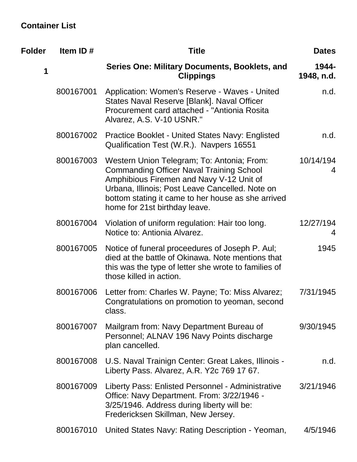# **Container List**

| <b>Folder</b> | Item ID#  | <b>Title</b>                                                                                                                                                                                                                                                                        | <b>Dates</b>        |
|---------------|-----------|-------------------------------------------------------------------------------------------------------------------------------------------------------------------------------------------------------------------------------------------------------------------------------------|---------------------|
| 1             |           | Series One: Military Documents, Booklets, and<br><b>Clippings</b>                                                                                                                                                                                                                   | 1944-<br>1948, n.d. |
|               | 800167001 | Application: Women's Reserve - Waves - United<br>States Naval Reserve [Blank]. Naval Officer<br>Procurement card attached - "Antionia Rosita"<br>Alvarez, A.S. V-10 USNR."                                                                                                          | n.d.                |
|               | 800167002 | <b>Practice Booklet - United States Navy: Englisted</b><br>Qualification Test (W.R.). Navpers 16551                                                                                                                                                                                 | n.d.                |
|               | 800167003 | Western Union Telegram; To: Antonia; From:<br><b>Commanding Officer Naval Training School</b><br>Amphibious Firemen and Navy V-12 Unit of<br>Urbana, Illinois; Post Leave Cancelled. Note on<br>bottom stating it came to her house as she arrived<br>home for 21st birthday leave. | 10/14/194<br>4      |
|               | 800167004 | Violation of uniform regulation: Hair too long.<br>Notice to: Antionia Alvarez.                                                                                                                                                                                                     | 12/27/194<br>4      |
|               | 800167005 | Notice of funeral proceedures of Joseph P. Aul;<br>died at the battle of Okinawa. Note mentions that<br>this was the type of letter she wrote to families of<br>those killed in action.                                                                                             | 1945                |
|               | 800167006 | Letter from: Charles W. Payne; To: Miss Alvarez;<br>Congratulations on promotion to yeoman, second<br>class.                                                                                                                                                                        | 7/31/1945           |
|               | 800167007 | Mailgram from: Navy Department Bureau of<br>Personnel; ALNAV 196 Navy Points discharge<br>plan cancelled.                                                                                                                                                                           | 9/30/1945           |
|               | 800167008 | U.S. Naval Trainign Center: Great Lakes, Illinois -<br>Liberty Pass. Alvarez, A.R. Y2c 769 17 67.                                                                                                                                                                                   | n.d.                |
|               | 800167009 | Liberty Pass: Enlisted Personnel - Administrative<br>Office: Navy Department. From: 3/22/1946 -<br>3/25/1946. Address during liberty will be:<br>Fredericksen Skillman, New Jersey.                                                                                                 | 3/21/1946           |
|               | 800167010 | United States Navy: Rating Description - Yeoman,                                                                                                                                                                                                                                    | 4/5/1946            |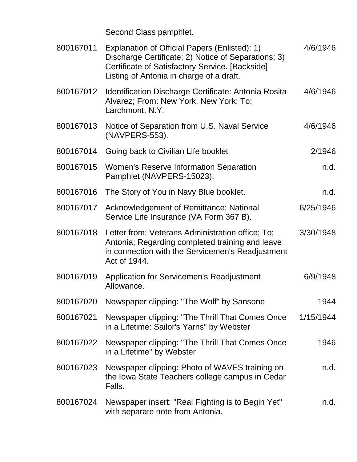Second Class pamphlet.

| 800167011 | Explanation of Official Papers (Enlisted): 1)<br>Discharge Certificate; 2) Notice of Separations; 3)<br>Certificate of Satisfactory Service. [Backside]<br>Listing of Antonia in charge of a draft. | 4/6/1946  |
|-----------|-----------------------------------------------------------------------------------------------------------------------------------------------------------------------------------------------------|-----------|
| 800167012 | Identification Discharge Certificate: Antonia Rosita<br>Alvarez; From: New York, New York; To:<br>Larchmont, N.Y.                                                                                   | 4/6/1946  |
| 800167013 | Notice of Separation from U.S. Naval Service<br>(NAVPERS-553).                                                                                                                                      | 4/6/1946  |
| 800167014 | Going back to Civilian Life booklet                                                                                                                                                                 | 2/1946    |
| 800167015 | <b>Women's Reserve Information Separation</b><br>Pamphlet (NAVPERS-15023).                                                                                                                          | n.d.      |
| 800167016 | The Story of You in Navy Blue booklet.                                                                                                                                                              | n.d.      |
| 800167017 | Acknowledgement of Remittance: National<br>Service Life Insurance (VA Form 367 B).                                                                                                                  | 6/25/1946 |
| 800167018 | Letter from: Veterans Administration office; To;<br>Antonia; Regarding completed training and leave<br>in connection with the Servicemen's Readjustment<br>Act of 1944.                             | 3/30/1948 |
| 800167019 | <b>Application for Servicemen's Readjustment</b><br>Allowance.                                                                                                                                      | 6/9/1948  |
| 800167020 | Newspaper clipping: "The Wolf" by Sansone                                                                                                                                                           | 1944      |
| 800167021 | Newspaper clipping: "The Thrill That Comes Once<br>in a Lifetime: Sailor's Yarns" by Webster                                                                                                        | 1/15/1944 |
| 800167022 | Newspaper clipping: "The Thrill That Comes Once<br>in a Lifetime" by Webster                                                                                                                        | 1946      |
| 800167023 | Newspaper clipping: Photo of WAVES training on<br>the Iowa State Teachers college campus in Cedar<br>Falls.                                                                                         | n.d.      |
| 800167024 | Newspaper insert: "Real Fighting is to Begin Yet"<br>with separate note from Antonia.                                                                                                               | n.d.      |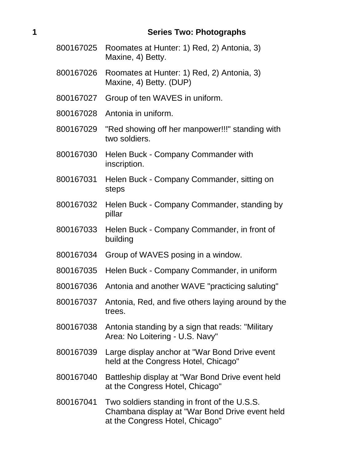#### **1 Series Two: Photographs**

- 800167025 Roomates at Hunter: 1) Red, 2) Antonia, 3) Maxine, 4) Betty.
- 800167026 Roomates at Hunter: 1) Red, 2) Antonia, 3) Maxine, 4) Betty. (DUP)
- 800167027 Group of ten WAVES in uniform.
- 800167028 Antonia in uniform.
- 800167029 "Red showing off her manpower!!!" standing with two soldiers.
- 800167030 Helen Buck Company Commander with inscription.
- 800167031 Helen Buck Company Commander, sitting on steps
- 800167032 Helen Buck Company Commander, standing by pillar
- 800167033 Helen Buck Company Commander, in front of building
- 800167034 Group of WAVES posing in a window.
- 800167035 Helen Buck Company Commander, in uniform
- 800167036 Antonia and another WAVE "practicing saluting"
- 800167037 Antonia, Red, and five others laying around by the trees.
- 800167038 Antonia standing by a sign that reads: "Military Area: No Loitering - U.S. Navy"
- 800167039 Large display anchor at "War Bond Drive event held at the Congress Hotel, Chicago"
- 800167040 Battleship display at "War Bond Drive event held at the Congress Hotel, Chicago"
- 800167041 Two soldiers standing in front of the U.S.S. Chambana display at "War Bond Drive event held at the Congress Hotel, Chicago"